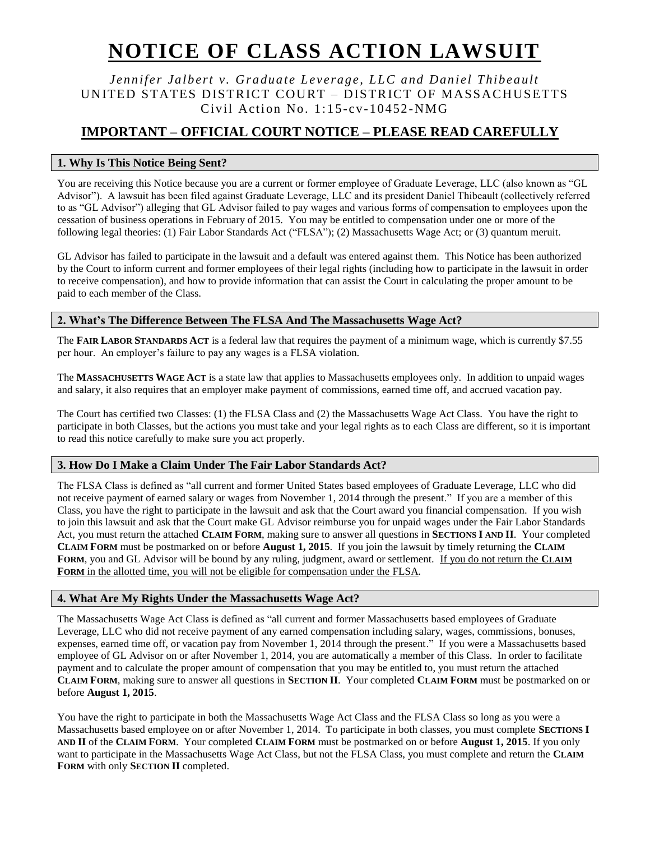# **NOTICE OF CLASS ACTION LAWSUIT**

*Jennifer Jalbert v. Graduate Leverage, LLC and Daniel Thibeault* UNITED STATES DISTRICT COURT - DISTRICT OF MASSACHUSETTS Civil Action No.  $1:15$ -cv-10452-NMG

## **IMPORTANT – OFFICIAL COURT NOTICE – PLEASE READ CAREFULLY**

## **1. Why Is This Notice Being Sent?**

You are receiving this Notice because you are a current or former employee of Graduate Leverage, LLC (also known as "GL Advisor"). A lawsuit has been filed against Graduate Leverage, LLC and its president Daniel Thibeault (collectively referred to as "GL Advisor") alleging that GL Advisor failed to pay wages and various forms of compensation to employees upon the cessation of business operations in February of 2015. You may be entitled to compensation under one or more of the following legal theories: (1) Fair Labor Standards Act ("FLSA"); (2) Massachusetts Wage Act; or (3) quantum meruit.

GL Advisor has failed to participate in the lawsuit and a default was entered against them. This Notice has been authorized by the Court to inform current and former employees of their legal rights (including how to participate in the lawsuit in order to receive compensation), and how to provide information that can assist the Court in calculating the proper amount to be paid to each member of the Class.

## **2. What's The Difference Between The FLSA And The Massachusetts Wage Act?**

The **FAIR LABOR STANDARDS ACT** is a federal law that requires the payment of a minimum wage, which is currently \$7.55 per hour. An employer's failure to pay any wages is a FLSA violation.

The **MASSACHUSETTS WAGE ACT** is a state law that applies to Massachusetts employees only. In addition to unpaid wages and salary, it also requires that an employer make payment of commissions, earned time off, and accrued vacation pay.

The Court has certified two Classes: (1) the FLSA Class and (2) the Massachusetts Wage Act Class. You have the right to participate in both Classes, but the actions you must take and your legal rights as to each Class are different, so it is important to read this notice carefully to make sure you act properly.

## **3. How Do I Make a Claim Under The Fair Labor Standards Act?**

The FLSA Class is defined as "all current and former United States based employees of Graduate Leverage, LLC who did not receive payment of earned salary or wages from November 1, 2014 through the present." If you are a member of this Class, you have the right to participate in the lawsuit and ask that the Court award you financial compensation. If you wish to join this lawsuit and ask that the Court make GL Advisor reimburse you for unpaid wages under the Fair Labor Standards Act, you must return the attached **CLAIM FORM**, making sure to answer all questions in **SECTIONS I AND II**. Your completed **CLAIM FORM** must be postmarked on or before **August 1, 2015**. If you join the lawsuit by timely returning the **CLAIM FORM**, you and GL Advisor will be bound by any ruling, judgment, award or settlement. If you do not return the **CLAIM FORM** in the allotted time, you will not be eligible for compensation under the FLSA.

## **4. What Are My Rights Under the Massachusetts Wage Act?**

The Massachusetts Wage Act Class is defined as "all current and former Massachusetts based employees of Graduate Leverage, LLC who did not receive payment of any earned compensation including salary, wages, commissions, bonuses, expenses, earned time off, or vacation pay from November 1, 2014 through the present." If you were a Massachusetts based employee of GL Advisor on or after November 1, 2014, you are automatically a member of this Class. In order to facilitate payment and to calculate the proper amount of compensation that you may be entitled to, you must return the attached **CLAIM FORM**, making sure to answer all questions in **SECTION II**. Your completed **CLAIM FORM** must be postmarked on or before **August 1, 2015**.

You have the right to participate in both the Massachusetts Wage Act Class and the FLSA Class so long as you were a Massachusetts based employee on or after November 1, 2014. To participate in both classes, you must complete **SECTIONS I AND II** of the **CLAIM FORM**. Your completed **CLAIM FORM** must be postmarked on or before **August 1, 2015**. If you only want to participate in the Massachusetts Wage Act Class, but not the FLSA Class, you must complete and return the **CLAIM FORM** with only **SECTION II** completed.